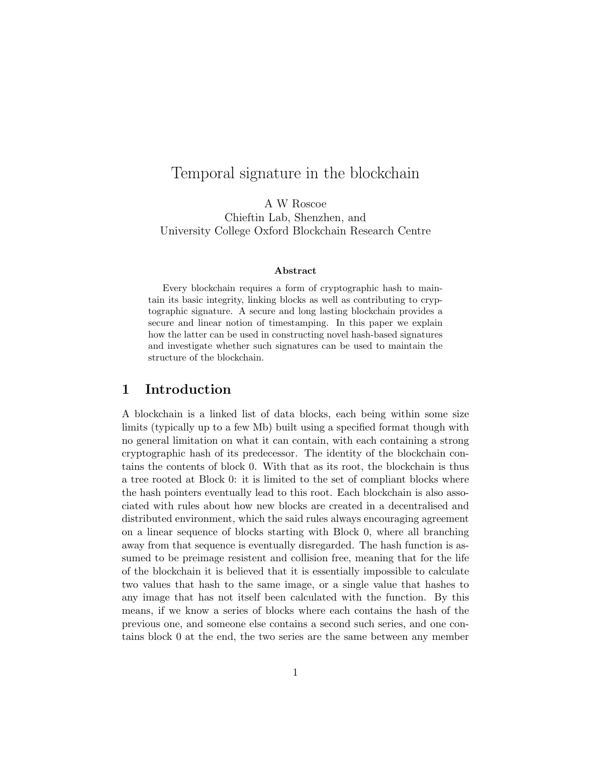# Temporal signature in the blockchain

A W Roscoe Chieftin Lab, Shenzhen, and University College Oxford Blockchain Research Centre

#### Abstract

Every blockchain requires a form of cryptographic hash to maintain its basic integrity, linking blocks as well as contributing to cryptographic signature. A secure and long lasting blockchain provides a secure and linear notion of timestamping. In this paper we explain how the latter can be used in constructing novel hash-based signatures and investigate whether such signatures can be used to maintain the structure of the blockchain.

### 1 Introduction

A blockchain is a linked list of data blocks, each being within some size limits (typically up to a few Mb) built using a specified format though with no general limitation on what it can contain, with each containing a strong cryptographic hash of its predecessor. The identity of the blockchain contains the contents of block 0. With that as its root, the blockchain is thus a tree rooted at Block 0: it is limited to the set of compliant blocks where the hash pointers eventually lead to this root. Each blockchain is also associated with rules about how new blocks are created in a decentralised and distributed environment, which the said rules always encouraging agreement on a linear sequence of blocks starting with Block 0, where all branching away from that sequence is eventually disregarded. The hash function is assumed to be preimage resistent and collision free, meaning that for the life of the blockchain it is believed that it is essentially impossible to calculate two values that hash to the same image, or a single value that hashes to any image that has not itself been calculated with the function. By this means, if we know a series of blocks where each contains the hash of the previous one, and someone else contains a second such series, and one contains block 0 at the end, the two series are the same between any member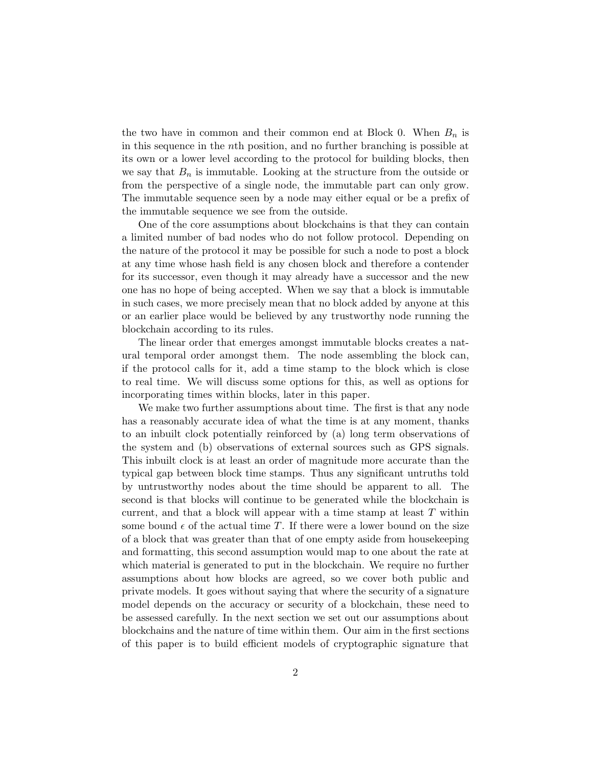the two have in common and their common end at Block 0. When  $B_n$  is in this sequence in the nth position, and no further branching is possible at its own or a lower level according to the protocol for building blocks, then we say that  $B_n$  is immutable. Looking at the structure from the outside or from the perspective of a single node, the immutable part can only grow. The immutable sequence seen by a node may either equal or be a prefix of the immutable sequence we see from the outside.

One of the core assumptions about blockchains is that they can contain a limited number of bad nodes who do not follow protocol. Depending on the nature of the protocol it may be possible for such a node to post a block at any time whose hash field is any chosen block and therefore a contender for its successor, even though it may already have a successor and the new one has no hope of being accepted. When we say that a block is immutable in such cases, we more precisely mean that no block added by anyone at this or an earlier place would be believed by any trustworthy node running the blockchain according to its rules.

The linear order that emerges amongst immutable blocks creates a natural temporal order amongst them. The node assembling the block can, if the protocol calls for it, add a time stamp to the block which is close to real time. We will discuss some options for this, as well as options for incorporating times within blocks, later in this paper.

We make two further assumptions about time. The first is that any node has a reasonably accurate idea of what the time is at any moment, thanks to an inbuilt clock potentially reinforced by (a) long term observations of the system and (b) observations of external sources such as GPS signals. This inbuilt clock is at least an order of magnitude more accurate than the typical gap between block time stamps. Thus any significant untruths told by untrustworthy nodes about the time should be apparent to all. The second is that blocks will continue to be generated while the blockchain is current, and that a block will appear with a time stamp at least T within some bound  $\epsilon$  of the actual time T. If there were a lower bound on the size of a block that was greater than that of one empty aside from housekeeping and formatting, this second assumption would map to one about the rate at which material is generated to put in the blockchain. We require no further assumptions about how blocks are agreed, so we cover both public and private models. It goes without saying that where the security of a signature model depends on the accuracy or security of a blockchain, these need to be assessed carefully. In the next section we set out our assumptions about blockchains and the nature of time within them. Our aim in the first sections of this paper is to build efficient models of cryptographic signature that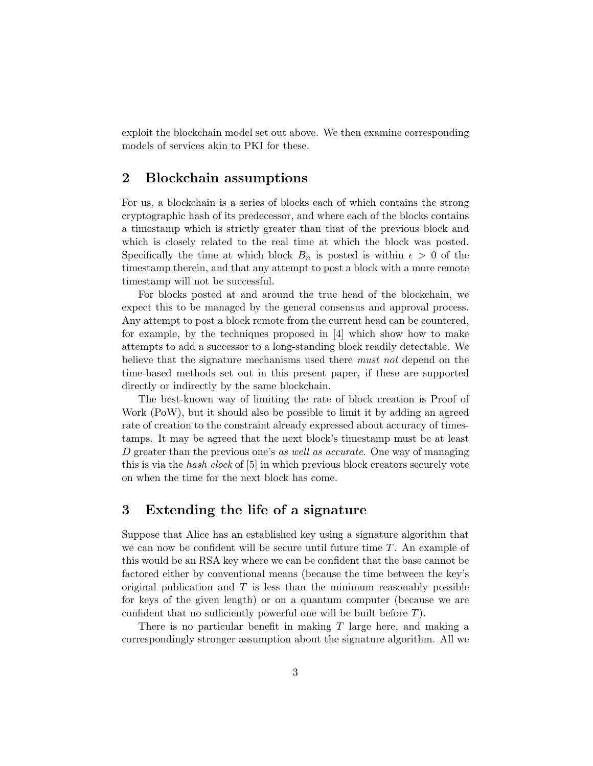exploit the blockchain model set out above. We then examine corresponding models of services akin to PKI for these.

### 2 Blockchain assumptions

For us, a blockchain is a series of blocks each of which contains the strong cryptographic hash of its predecessor, and where each of the blocks contains a timestamp which is strictly greater than that of the previous block and which is closely related to the real time at which the block was posted. Specifically the time at which block  $B_n$  is posted is within  $\epsilon > 0$  of the timestamp therein, and that any attempt to post a block with a more remote timestamp will not be successful.

For blocks posted at and around the true head of the blockchain, we expect this to be managed by the general consensus and approval process. Any attempt to post a block remote from the current head can be countered, for example, by the techniques proposed in [4] which show how to make attempts to add a successor to a long-standing block readily detectable. We believe that the signature mechanisms used there *must not* depend on the time-based methods set out in this present paper, if these are supported directly or indirectly by the same blockchain.

The best-known way of limiting the rate of block creation is Proof of Work (PoW), but it should also be possible to limit it by adding an agreed rate of creation to the constraint already expressed about accuracy of timestamps. It may be agreed that the next block's timestamp must be at least D greater than the previous one's as well as accurate. One way of managing this is via the hash clock of [5] in which previous block creators securely vote on when the time for the next block has come.

## 3 Extending the life of a signature

Suppose that Alice has an established key using a signature algorithm that we can now be confident will be secure until future time  $T$ . An example of this would be an RSA key where we can be confident that the base cannot be factored either by conventional means (because the time between the key's original publication and  $T$  is less than the minimum reasonably possible for keys of the given length) or on a quantum computer (because we are confident that no sufficiently powerful one will be built before T).

There is no particular benefit in making  $T$  large here, and making a correspondingly stronger assumption about the signature algorithm. All we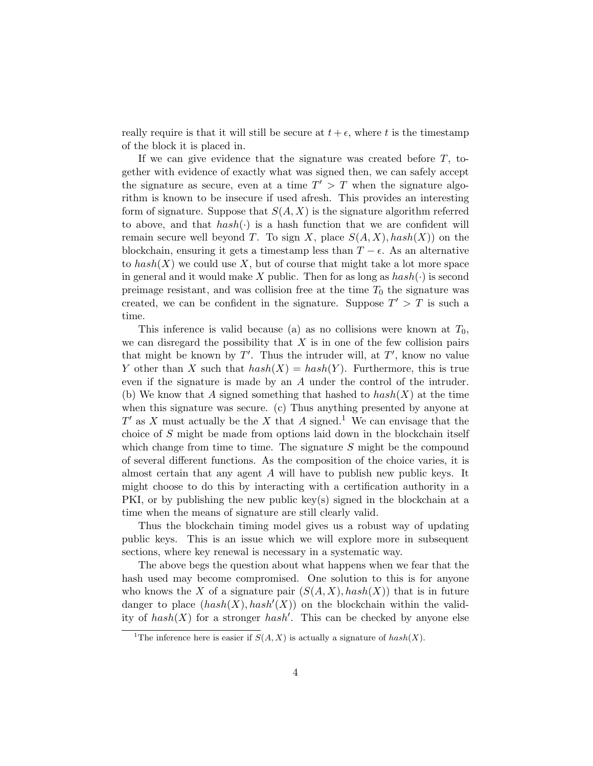really require is that it will still be secure at  $t + \epsilon$ , where t is the timestamp of the block it is placed in.

If we can give evidence that the signature was created before  $T$ , together with evidence of exactly what was signed then, we can safely accept the signature as secure, even at a time  $T' > T$  when the signature algorithm is known to be insecure if used afresh. This provides an interesting form of signature. Suppose that  $S(A, X)$  is the signature algorithm referred to above, and that  $hash(\cdot)$  is a hash function that we are confident will remain secure well beyond T. To sign X, place  $S(A, X), hash(X)$  on the blockchain, ensuring it gets a timestamp less than  $T - \epsilon$ . As an alternative to  $hash(X)$  we could use X, but of course that might take a lot more space in general and it would make X public. Then for as long as  $hash(\cdot)$  is second preimage resistant, and was collision free at the time  $T_0$  the signature was created, we can be confident in the signature. Suppose  $T' > T$  is such a time.

This inference is valid because (a) as no collisions were known at  $T_0$ , we can disregard the possibility that  $X$  is in one of the few collision pairs that might be known by  $T'$ . Thus the intruder will, at  $T'$ , know no value Y other than X such that  $hash(X) = hash(Y)$ . Furthermore, this is true even if the signature is made by an A under the control of the intruder. (b) We know that A signed something that hashed to  $hash(X)$  at the time when this signature was secure. (c) Thus anything presented by anyone at  $T'$  as X must actually be the X that A signed.<sup>1</sup> We can envisage that the choice of S might be made from options laid down in the blockchain itself which change from time to time. The signature  $S$  might be the compound of several different functions. As the composition of the choice varies, it is almost certain that any agent A will have to publish new public keys. It might choose to do this by interacting with a certification authority in a PKI, or by publishing the new public key(s) signed in the blockchain at a time when the means of signature are still clearly valid.

Thus the blockchain timing model gives us a robust way of updating public keys. This is an issue which we will explore more in subsequent sections, where key renewal is necessary in a systematic way.

The above begs the question about what happens when we fear that the hash used may become compromised. One solution to this is for anyone who knows the X of a signature pair  $(S(A, X), hash(X))$  that is in future danger to place  $(hash(X), hash'(X))$  on the blockchain within the validity of  $hash(X)$  for a stronger  $hash'$ . This can be checked by anyone else

<sup>&</sup>lt;sup>1</sup>The inference here is easier if  $S(A, X)$  is actually a signature of  $hash(X)$ .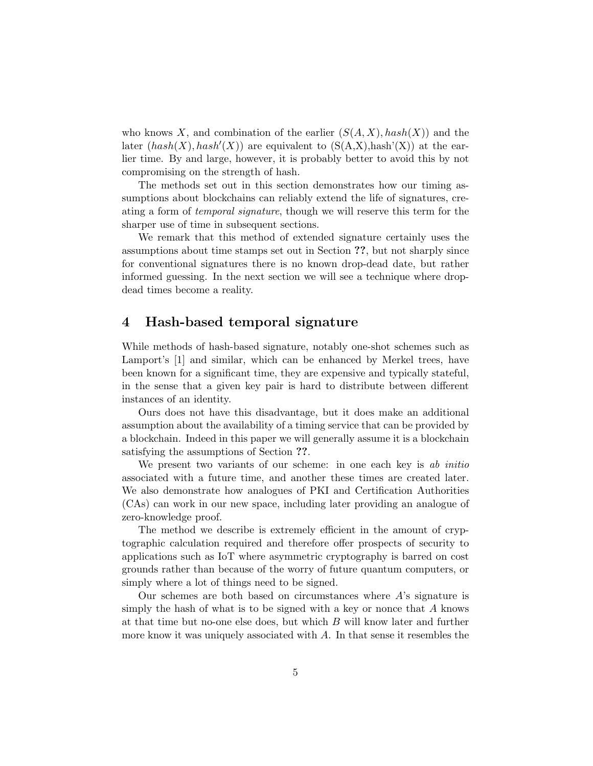who knows X, and combination of the earlier  $(S(A, X), hash(X))$  and the later  $(hash(X), hash'(X))$  are equivalent to  $(S(A,X),hash'(X))$  at the earlier time. By and large, however, it is probably better to avoid this by not compromising on the strength of hash.

The methods set out in this section demonstrates how our timing assumptions about blockchains can reliably extend the life of signatures, creating a form of temporal signature, though we will reserve this term for the sharper use of time in subsequent sections.

We remark that this method of extended signature certainly uses the assumptions about time stamps set out in Section ??, but not sharply since for conventional signatures there is no known drop-dead date, but rather informed guessing. In the next section we will see a technique where dropdead times become a reality.

#### 4 Hash-based temporal signature

While methods of hash-based signature, notably one-shot schemes such as Lamport's  $[1]$  and similar, which can be enhanced by Merkel trees, have been known for a significant time, they are expensive and typically stateful, in the sense that a given key pair is hard to distribute between different instances of an identity.

Ours does not have this disadvantage, but it does make an additional assumption about the availability of a timing service that can be provided by a blockchain. Indeed in this paper we will generally assume it is a blockchain satisfying the assumptions of Section ??.

We present two variants of our scheme: in one each key is ab initio associated with a future time, and another these times are created later. We also demonstrate how analogues of PKI and Certification Authorities (CAs) can work in our new space, including later providing an analogue of zero-knowledge proof.

The method we describe is extremely efficient in the amount of cryptographic calculation required and therefore offer prospects of security to applications such as IoT where asymmetric cryptography is barred on cost grounds rather than because of the worry of future quantum computers, or simply where a lot of things need to be signed.

Our schemes are both based on circumstances where  $A$ 's signature is simply the hash of what is to be signed with a key or nonce that A knows at that time but no-one else does, but which B will know later and further more know it was uniquely associated with A. In that sense it resembles the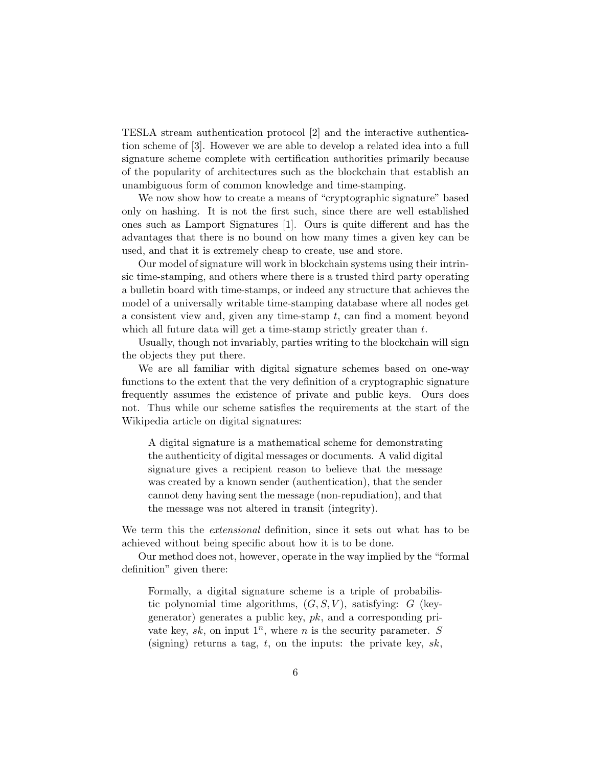TESLA stream authentication protocol [2] and the interactive authentication scheme of [3]. However we are able to develop a related idea into a full signature scheme complete with certification authorities primarily because of the popularity of architectures such as the blockchain that establish an unambiguous form of common knowledge and time-stamping.

We now show how to create a means of "cryptographic signature" based only on hashing. It is not the first such, since there are well established ones such as Lamport Signatures [1]. Ours is quite different and has the advantages that there is no bound on how many times a given key can be used, and that it is extremely cheap to create, use and store.

Our model of signature will work in blockchain systems using their intrinsic time-stamping, and others where there is a trusted third party operating a bulletin board with time-stamps, or indeed any structure that achieves the model of a universally writable time-stamping database where all nodes get a consistent view and, given any time-stamp t, can find a moment beyond which all future data will get a time-stamp strictly greater than  $t$ .

Usually, though not invariably, parties writing to the blockchain will sign the objects they put there.

We are all familiar with digital signature schemes based on one-way functions to the extent that the very definition of a cryptographic signature frequently assumes the existence of private and public keys. Ours does not. Thus while our scheme satisfies the requirements at the start of the Wikipedia article on digital signatures:

A digital signature is a mathematical scheme for demonstrating the authenticity of digital messages or documents. A valid digital signature gives a recipient reason to believe that the message was created by a known sender (authentication), that the sender cannot deny having sent the message (non-repudiation), and that the message was not altered in transit (integrity).

We term this the *extensional* definition, since it sets out what has to be achieved without being specific about how it is to be done.

Our method does not, however, operate in the way implied by the "formal definition" given there:

Formally, a digital signature scheme is a triple of probabilistic polynomial time algorithms,  $(G, S, V)$ , satisfying: G (keygenerator) generates a public key,  $pk$ , and a corresponding private key, sk, on input  $1^n$ , where n is the security parameter. S (signing) returns a tag, t, on the inputs: the private key,  $sk$ ,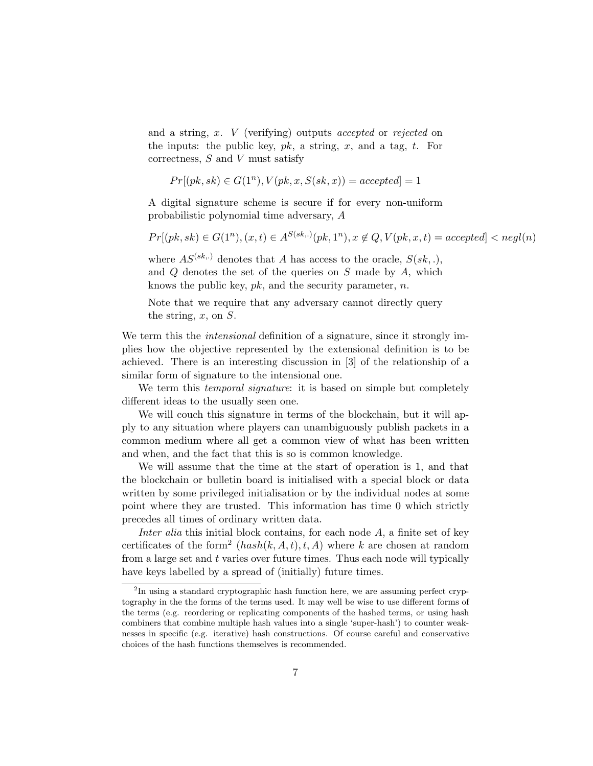and a string, x. V (verifying) outputs accepted or rejected on the inputs: the public key,  $pk$ , a string, x, and a tag, t. For correctness,  $S$  and  $V$  must satisfy

$$
Pr[(pk, sk) \in G(1^n), V(pk, x, S(sk, x)) = accepted] = 1
$$

A digital signature scheme is secure if for every non-uniform probabilistic polynomial time adversary, A

$$
Pr[(pk, sk) \in G(1^n), (x, t) \in A^{S(sk,.)}(pk, 1^n), x \notin Q, V(pk, x, t) = accepted] < negl(n)
$$

where  $AS^{(sk,.)}$  denotes that A has access to the oracle,  $S(sk,.)$ and  $Q$  denotes the set of the queries on  $S$  made by  $A$ , which knows the public key,  $pk$ , and the security parameter, n.

Note that we require that any adversary cannot directly query the string,  $x$ , on  $S$ .

We term this the *intensional* definition of a signature, since it strongly implies how the objective represented by the extensional definition is to be achieved. There is an interesting discussion in [3] of the relationship of a similar form of signature to the intensional one.

We term this *temporal signature*: it is based on simple but completely different ideas to the usually seen one.

We will couch this signature in terms of the blockchain, but it will apply to any situation where players can unambiguously publish packets in a common medium where all get a common view of what has been written and when, and the fact that this is so is common knowledge.

We will assume that the time at the start of operation is 1, and that the blockchain or bulletin board is initialised with a special block or data written by some privileged initialisation or by the individual nodes at some point where they are trusted. This information has time 0 which strictly precedes all times of ordinary written data.

Inter alia this initial block contains, for each node  $A$ , a finite set of key certificates of the form<sup>2</sup>  $(hash(k, A, t), t, A)$  where k are chosen at random from a large set and  $t$  varies over future times. Thus each node will typically have keys labelled by a spread of (initially) future times.

<sup>&</sup>lt;sup>2</sup>In using a standard cryptographic hash function here, we are assuming perfect cryptography in the the forms of the terms used. It may well be wise to use different forms of the terms (e.g. reordering or replicating components of the hashed terms, or using hash combiners that combine multiple hash values into a single 'super-hash') to counter weaknesses in specific (e.g. iterative) hash constructions. Of course careful and conservative choices of the hash functions themselves is recommended.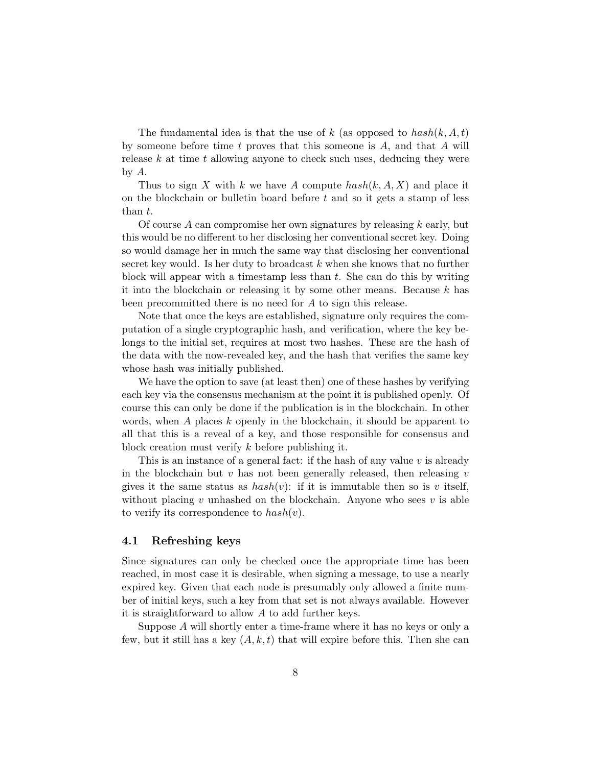The fundamental idea is that the use of k (as opposed to  $hash(k, A, t)$ ) by someone before time  $t$  proves that this someone is  $A$ , and that  $A$  will release  $k$  at time  $t$  allowing anyone to check such uses, deducing they were by A.

Thus to sign X with k we have A compute  $hash(k, A, X)$  and place it on the blockchain or bullet the board before t and so it gets a stamp of less than t.

Of course A can compromise her own signatures by releasing  $k$  early, but this would be no different to her disclosing her conventional secret key. Doing so would damage her in much the same way that disclosing her conventional secret key would. Is her duty to broadcast  $k$  when she knows that no further block will appear with a timestamp less than  $t$ . She can do this by writing it into the blockchain or releasing it by some other means. Because  $k$  has been precommitted there is no need for  $A$  to sign this release.

Note that once the keys are established, signature only requires the computation of a single cryptographic hash, and verification, where the key belongs to the initial set, requires at most two hashes. These are the hash of the data with the now-revealed key, and the hash that verifies the same key whose hash was initially published.

We have the option to save (at least then) one of these hashes by verifying each key via the consensus mechanism at the point it is published openly. Of course this can only be done if the publication is in the blockchain. In other words, when A places  $k$  openly in the blockchain, it should be apparent to all that this is a reveal of a key, and those responsible for consensus and block creation must verify k before publishing it.

This is an instance of a general fact: if the hash of any value  $v$  is already in the blockchain but  $v$  has not been generally released, then releasing  $v$ gives it the same status as  $hash(v)$ : if it is immutable then so is v itself, without placing  $v$  unhashed on the blockchain. Anyone who sees  $v$  is able to verify its correspondence to  $hash(v)$ .

#### 4.1 Refreshing keys

Since signatures can only be checked once the appropriate time has been reached, in most case it is desirable, when signing a message, to use a nearly expired key. Given that each node is presumably only allowed a finite number of initial keys, such a key from that set is not always available. However it is straightforward to allow A to add further keys.

Suppose A will shortly enter a time-frame where it has no keys or only a few, but it still has a key  $(A, k, t)$  that will expire before this. Then she can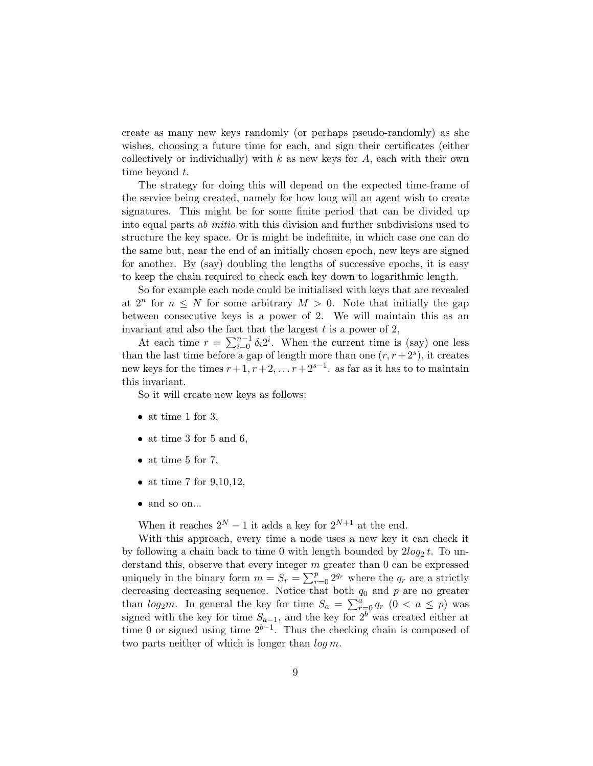create as many new keys randomly (or perhaps pseudo-randomly) as she wishes, choosing a future time for each, and sign their certificates (either collectively or individually) with  $k$  as new keys for  $A$ , each with their own time beyond t.

The strategy for doing this will depend on the expected time-frame of the service being created, namely for how long will an agent wish to create signatures. This might be for some finite period that can be divided up into equal parts ab initio with this division and further subdivisions used to structure the key space. Or is might be indefinite, in which case one can do the same but, near the end of an initially chosen epoch, new keys are signed for another. By (say) doubling the lengths of successive epochs, it is easy to keep the chain required to check each key down to logarithmic length.

So for example each node could be initialised with keys that are revealed at  $2^n$  for  $n \leq N$  for some arbitrary  $M > 0$ . Note that initially the gap between consecutive keys is a power of 2. We will maintain this as an invariant and also the fact that the largest  $t$  is a power of  $2$ ,

At each time  $r = \sum_{i=0}^{n-1} \delta_i 2^i$ . When the current time is (say) one less than the last time before a gap of length more than one  $(r, r+2^s)$ , it creates new keys for the times  $r+1, r+2, \ldots r+2^{s-1}$ . as far as it has to to maintain this invariant.

So it will create new keys as follows:

- at time 1 for 3,
- at time 3 for 5 and 6,
- at time 5 for 7,
- at time 7 for  $9,10,12$ ,
- $\bullet\,$  and so on...

When it reaches  $2^N - 1$  it adds a key for  $2^{N+1}$  at the end.

With this approach, every time a node uses a new key it can check it by following a chain back to time 0 with length bounded by  $2log_2 t$ . To understand this, observe that every integer  $m$  greater than 0 can be expressed uniquely in the binary form  $m = S_r = \sum_{r=0}^{p} 2^{q_r}$  where the  $q_r$  are a strictly decreasing decreasing sequence. Notice that both  $q_0$  and  $p$  are no greater than  $log_2 m$ . In general the key for time  $S_a = \sum_{r=0}^a q_r (0 < a \leq p)$  was signed with the key for time  $S_{a-1}$ , and the key for  $2^b$  was created either at time 0 or signed using time  $2^{b-1}$ . Thus the checking chain is composed of two parts neither of which is longer than  $\log m$ .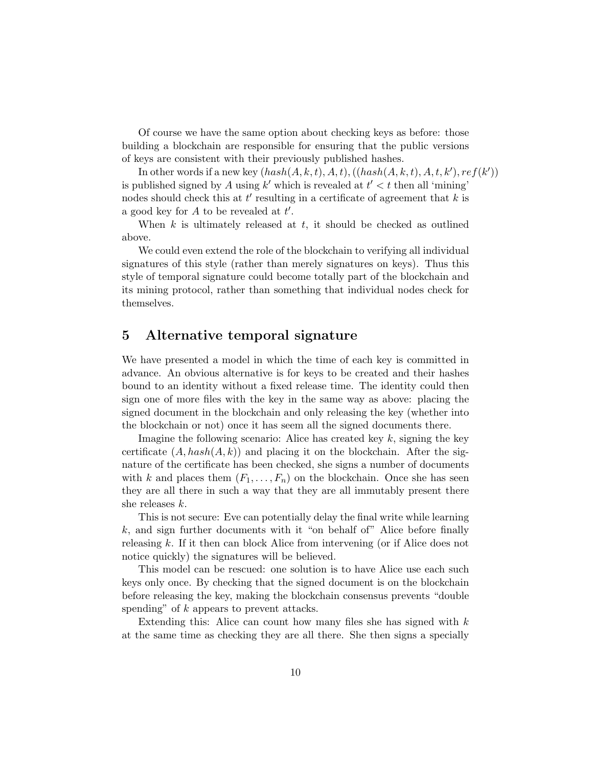Of course we have the same option about checking keys as before: those building a blockchain are responsible for ensuring that the public versions of keys are consistent with their previously published hashes.

In other words if a new key  $(hash(A, k, t), A, t), ((hash(A, k, t), A, t, k'), ref(k'))$ is published signed by A using  $k'$  which is revealed at  $t' < t$  then all 'mining' nodes should check this at  $t'$  resulting in a certificate of agreement that  $k$  is a good key for  $A$  to be revealed at  $t'$ .

When  $k$  is ultimately released at  $t$ , it should be checked as outlined above.

We could even extend the role of the blockchain to verifying all individual signatures of this style (rather than merely signatures on keys). Thus this style of temporal signature could become totally part of the blockchain and its mining protocol, rather than something that individual nodes check for themselves.

### 5 Alternative temporal signature

We have presented a model in which the time of each key is committed in advance. An obvious alternative is for keys to be created and their hashes bound to an identity without a fixed release time. The identity could then sign one of more files with the key in the same way as above: placing the signed document in the blockchain and only releasing the key (whether into the blockchain or not) once it has seem all the signed documents there.

Imagine the following scenario: Alice has created key  $k$ , signing the key certificate  $(A, hash(A, k))$  and placing it on the blockchain. After the signature of the certificate has been checked, she signs a number of documents with k and places them  $(F_1, \ldots, F_n)$  on the blockchain. Once she has seen they are all there in such a way that they are all immutably present there she releases k.

This is not secure: Eve can potentially delay the final write while learning k, and sign further documents with it "on behalf of" Alice before finally releasing k. If it then can block Alice from intervening (or if Alice does not notice quickly) the signatures will be believed.

This model can be rescued: one solution is to have Alice use each such keys only once. By checking that the signed document is on the blockchain before releasing the key, making the blockchain consensus prevents "double spending" of  $k$  appears to prevent attacks.

Extending this: Alice can count how many files she has signed with  $k$ at the same time as checking they are all there. She then signs a specially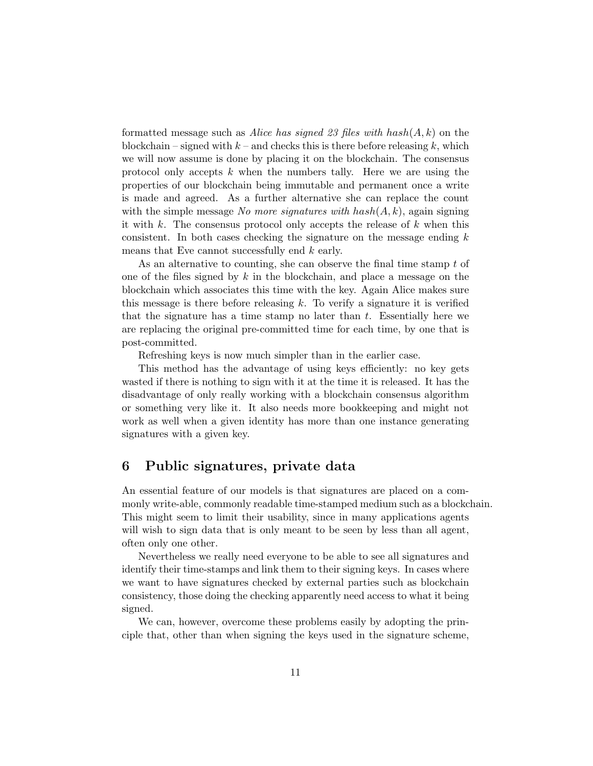formatted message such as Alice has signed 23 files with  $hash(A, k)$  on the blockchain – signed with  $k$  – and checks this is there before releasing k, which we will now assume is done by placing it on the blockchain. The consensus protocol only accepts  $k$  when the numbers tally. Here we are using the properties of our blockchain being immutable and permanent once a write is made and agreed. As a further alternative she can replace the count with the simple message No more signatures with  $hash(A, k)$ , again signing it with k. The consensus protocol only accepts the release of  $k$  when this consistent. In both cases checking the signature on the message ending  $k$ means that Eve cannot successfully end k early.

As an alternative to counting, she can observe the final time stamp t of one of the files signed by  $k$  in the blockchain, and place a message on the blockchain which associates this time with the key. Again Alice makes sure this message is there before releasing k. To verify a signature it is verified that the signature has a time stamp no later than  $t$ . Essentially here we are replacing the original pre-committed time for each time, by one that is post-committed.

Refreshing keys is now much simpler than in the earlier case.

This method has the advantage of using keys efficiently: no key gets wasted if there is nothing to sign with it at the time it is released. It has the disadvantage of only really working with a blockchain consensus algorithm or something very like it. It also needs more bookkeeping and might not work as well when a given identity has more than one instance generating signatures with a given key.

#### 6 Public signatures, private data

An essential feature of our models is that signatures are placed on a commonly write-able, commonly readable time-stamped medium such as a blockchain. This might seem to limit their usability, since in many applications agents will wish to sign data that is only meant to be seen by less than all agent, often only one other.

Nevertheless we really need everyone to be able to see all signatures and identify their time-stamps and link them to their signing keys. In cases where we want to have signatures checked by external parties such as blockchain consistency, those doing the checking apparently need access to what it being signed.

We can, however, overcome these problems easily by adopting the principle that, other than when signing the keys used in the signature scheme,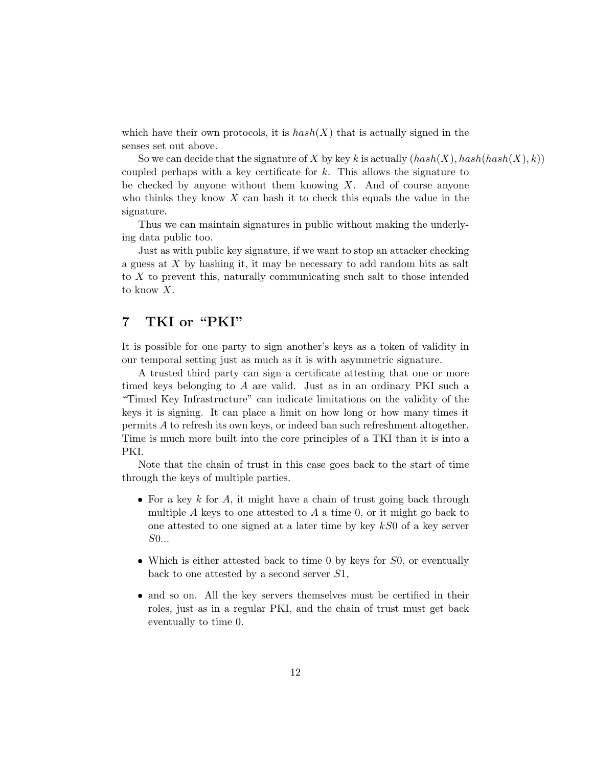which have their own protocols, it is  $hash(X)$  that is actually signed in the senses set out above.

So we can decide that the signature of X by key k is actually  $(hash(X), hash(hash(X), k))$ coupled perhaps with a key certificate for k. This allows the signature to be checked by anyone without them knowing  $X$ . And of course anyone who thinks they know  $X$  can hash it to check this equals the value in the signature.

Thus we can maintain signatures in public without making the underlying data public too.

Just as with public key signature, if we want to stop an attacker checking a guess at X by hashing it, it may be necessary to add random bits as salt to X to prevent this, naturally communicating such salt to those intended to know X.

## 7 TKI or "PKI"

It is possible for one party to sign another's keys as a token of validity in our temporal setting just as much as it is with asymmetric signature.

A trusted third party can sign a certificate attesting that one or more timed keys belonging to A are valid. Just as in an ordinary PKI such a "Timed Key Infrastructure" can indicate limitations on the validity of the keys it is signing. It can place a limit on how long or how many times it permits A to refresh its own keys, or indeed ban such refreshment altogether. Time is much more built into the core principles of a TKI than it is into a PKI.

Note that the chain of trust in this case goes back to the start of time through the keys of multiple parties.

- For a key k for A, it might have a chain of trust going back through multiple  $A$  keys to one attested to  $A$  a time 0, or it might go back to one attested to one signed at a later time by key  $kS0$  of a key server S0...
- Which is either attested back to time 0 by keys for S0, or eventually back to one attested by a second server S1,
- and so on. All the key servers themselves must be certified in their roles, just as in a regular PKI, and the chain of trust must get back eventually to time 0.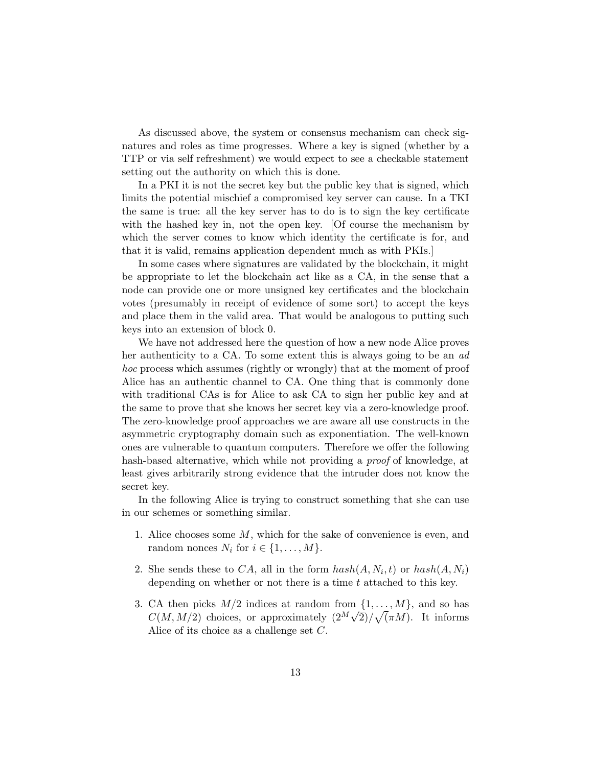As discussed above, the system or consensus mechanism can check signatures and roles as time progresses. Where a key is signed (whether by a TTP or via self refreshment) we would expect to see a checkable statement setting out the authority on which this is done.

In a PKI it is not the secret key but the public key that is signed, which limits the potential mischief a compromised key server can cause. In a TKI the same is true: all the key server has to do is to sign the key certificate with the hashed key in, not the open key. [Of course the mechanism by which the server comes to know which identity the certificate is for, and that it is valid, remains application dependent much as with PKIs.]

In some cases where signatures are validated by the blockchain, it might be appropriate to let the blockchain act like as a CA, in the sense that a node can provide one or more unsigned key certificates and the blockchain votes (presumably in receipt of evidence of some sort) to accept the keys and place them in the valid area. That would be analogous to putting such keys into an extension of block 0.

We have not addressed here the question of how a new node Alice proves her authenticity to a CA. To some extent this is always going to be an ad hoc process which assumes (rightly or wrongly) that at the moment of proof Alice has an authentic channel to CA. One thing that is commonly done with traditional CAs is for Alice to ask CA to sign her public key and at the same to prove that she knows her secret key via a zero-knowledge proof. The zero-knowledge proof approaches we are aware all use constructs in the asymmetric cryptography domain such as exponentiation. The well-known ones are vulnerable to quantum computers. Therefore we offer the following hash-based alternative, which while not providing a *proof* of knowledge, at least gives arbitrarily strong evidence that the intruder does not know the secret key.

In the following Alice is trying to construct something that she can use in our schemes or something similar.

- 1. Alice chooses some M, which for the sake of convenience is even, and random nonces  $N_i$  for  $i \in \{1, ..., M\}$ .
- 2. She sends these to CA, all in the form  $hash(A, N_i, t)$  or  $hash(A, N_i)$ depending on whether or not there is a time  $t$  attached to this key.
- 3. CA then picks  $M/2$  indices at random from  $\{1, \ldots, M\}$ , and so has  $C(M, M/2)$  choices, or approximately  $\left(2^M \sqrt{2}\right)/\sqrt{(\pi M)}$ . It informs Alice of its choice as a challenge set C.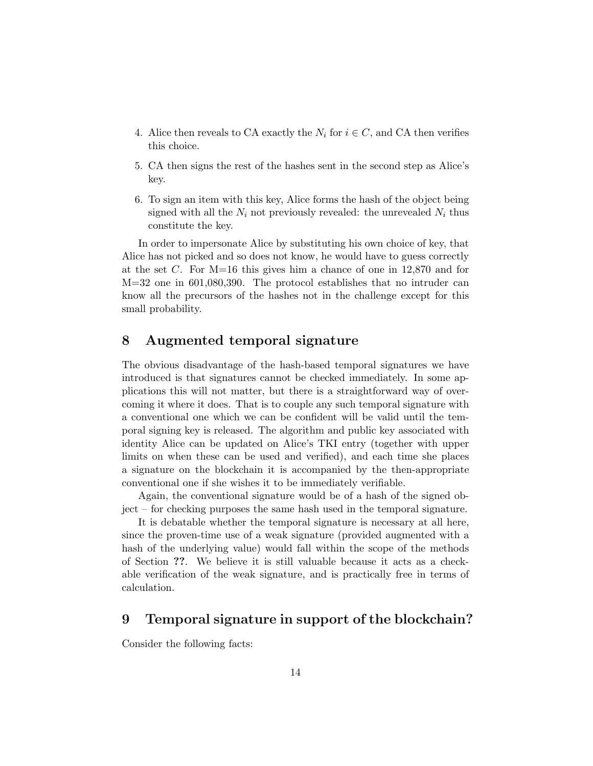- 4. Alice then reveals to CA exactly the  $N_i$  for  $i \in C$ , and CA then verifies this choice.
- 5. CA then signs the rest of the hashes sent in the second step as Alice's key.
- 6. To sign an item with this key, Alice forms the hash of the object being signed with all the  $N_i$  not previously revealed: the unrevealed  $N_i$  thus constitute the key.

In order to impersonate Alice by substituting his own choice of key, that Alice has not picked and so does not know, he would have to guess correctly at the set C. For  $M=16$  this gives him a chance of one in 12,870 and for M=32 one in 601,080,390. The protocol establishes that no intruder can know all the precursors of the hashes not in the challenge except for this small probability.

### 8 Augmented temporal signature

The obvious disadvantage of the hash-based temporal signatures we have introduced is that signatures cannot be checked immediately. In some applications this will not matter, but there is a straightforward way of overcoming it where it does. That is to couple any such temporal signature with a conventional one which we can be confident will be valid until the temporal signing key is released. The algorithm and public key associated with identity Alice can be updated on Alice's TKI entry (together with upper limits on when these can be used and verified), and each time she places a signature on the blockchain it is accompanied by the then-appropriate conventional one if she wishes it to be immediately verifiable.

Again, the conventional signature would be of a hash of the signed object – for checking purposes the same hash used in the temporal signature.

It is debatable whether the temporal signature is necessary at all here, since the proven-time use of a weak signature (provided augmented with a hash of the underlying value) would fall within the scope of the methods of Section ??. We believe it is still valuable because it acts as a checkable verification of the weak signature, and is practically free in terms of calculation.

### 9 Temporal signature in support of the blockchain?

Consider the following facts: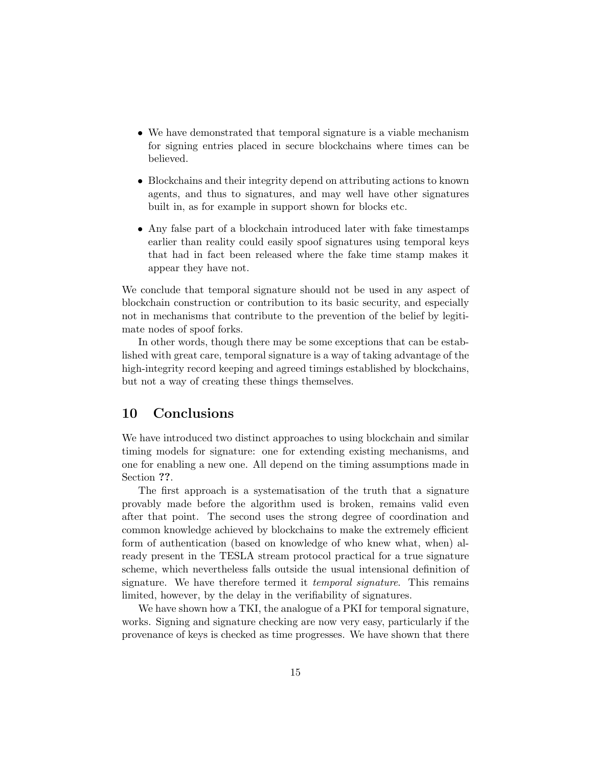- We have demonstrated that temporal signature is a viable mechanism for signing entries placed in secure blockchains where times can be believed.
- Blockchains and their integrity depend on attributing actions to known agents, and thus to signatures, and may well have other signatures built in, as for example in support shown for blocks etc.
- Any false part of a blockchain introduced later with fake timestamps earlier than reality could easily spoof signatures using temporal keys that had in fact been released where the fake time stamp makes it appear they have not.

We conclude that temporal signature should not be used in any aspect of blockchain construction or contribution to its basic security, and especially not in mechanisms that contribute to the prevention of the belief by legitimate nodes of spoof forks.

In other words, though there may be some exceptions that can be established with great care, temporal signature is a way of taking advantage of the high-integrity record keeping and agreed timings established by blockchains, but not a way of creating these things themselves.

### 10 Conclusions

We have introduced two distinct approaches to using blockchain and similar timing models for signature: one for extending existing mechanisms, and one for enabling a new one. All depend on the timing assumptions made in Section ??.

The first approach is a systematisation of the truth that a signature provably made before the algorithm used is broken, remains valid even after that point. The second uses the strong degree of coordination and common knowledge achieved by blockchains to make the extremely efficient form of authentication (based on knowledge of who knew what, when) already present in the TESLA stream protocol practical for a true signature scheme, which nevertheless falls outside the usual intensional definition of signature. We have therefore termed it *temporal signature*. This remains limited, however, by the delay in the verifiability of signatures.

We have shown how a TKI, the analogue of a PKI for temporal signature, works. Signing and signature checking are now very easy, particularly if the provenance of keys is checked as time progresses. We have shown that there